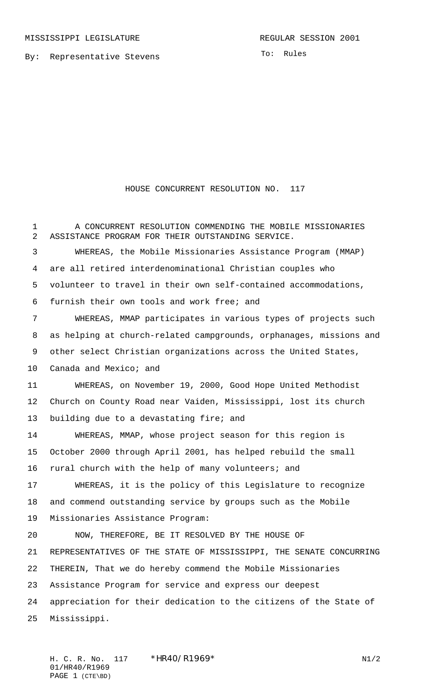To: Rules

## HOUSE CONCURRENT RESOLUTION NO. 117

 A CONCURRENT RESOLUTION COMMENDING THE MOBILE MISSIONARIES ASSISTANCE PROGRAM FOR THEIR OUTSTANDING SERVICE. WHEREAS, the Mobile Missionaries Assistance Program (MMAP) are all retired interdenominational Christian couples who volunteer to travel in their own self-contained accommodations, furnish their own tools and work free; and WHEREAS, MMAP participates in various types of projects such as helping at church-related campgrounds, orphanages, missions and other select Christian organizations across the United States, Canada and Mexico; and WHEREAS, on November 19, 2000, Good Hope United Methodist Church on County Road near Vaiden, Mississippi, lost its church 13 building due to a devastating fire; and WHEREAS, MMAP, whose project season for this region is October 2000 through April 2001, has helped rebuild the small rural church with the help of many volunteers; and WHEREAS, it is the policy of this Legislature to recognize and commend outstanding service by groups such as the Mobile Missionaries Assistance Program: NOW, THEREFORE, BE IT RESOLVED BY THE HOUSE OF REPRESENTATIVES OF THE STATE OF MISSISSIPPI, THE SENATE CONCURRING THEREIN, That we do hereby commend the Mobile Missionaries Assistance Program for service and express our deepest appreciation for their dedication to the citizens of the State of Mississippi.